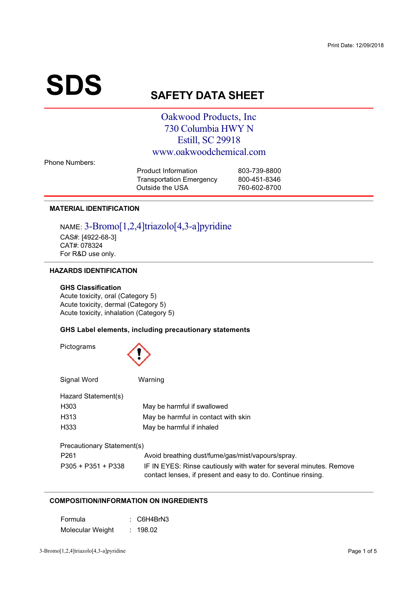# $\textbf{SDS}_{\text{S}}$

# **AFETY DATA SHEET**

# Oakwood Products, Inc. 730 Columbia HWY N Estill, SC 29918 www.oakwoodchemical.com

**Phone Numbers:** 

| <b>Product Information</b>      | 803-739-8800 |
|---------------------------------|--------------|
| <b>Transportation Emergency</b> | 800-451-8346 |
| Outside the USA                 | 760-602-8700 |
|                                 |              |

# **MATERIAL IDENTIFICATION**

NAME: 3-Bromo[1,2,4]triazolo[4,3-a]pyridine CAS#: [4922-68-3]<br>CAT#: 078324  $For RAD use$ /012 
3 4

# **HAZARDS IDENTIFICATION**

#### **GHS Classification**

Acute toxicity, oral (Category 5)<br>Acute toxicity, dermal (Category 5) Acute toxicity inhalation (Category  $\left( \begin{array}{ccc} 0 & 0 \\ 0 & 0 \end{array} \right)$ 

# **GHS Label elements, including precautionary statements**

| Pictograms                 |                                                                                                                                     |  |  |  |  |
|----------------------------|-------------------------------------------------------------------------------------------------------------------------------------|--|--|--|--|
| Signal Word                | Warning                                                                                                                             |  |  |  |  |
| Hazard Statement(s)        |                                                                                                                                     |  |  |  |  |
| H <sub>303</sub>           | May be harmful if swallowed                                                                                                         |  |  |  |  |
| H313                       | May be harmful in contact with skin                                                                                                 |  |  |  |  |
| H333                       | May be harmful if inhaled                                                                                                           |  |  |  |  |
| Precautionary Statement(s) |                                                                                                                                     |  |  |  |  |
| P <sub>261</sub>           | Avoid breathing dust/fume/gas/mist/vapours/spray.                                                                                   |  |  |  |  |
| $P305 + P351 + P338$       | IF IN EYES: Rinse cautiously with water for several minutes. Remove<br>contact lenses, if present and easy to do. Continue rinsing. |  |  |  |  |

# **COMPOSITION/INFORMATION ON INGREDIENTS**

| Formula          | $\therefore$ C6H4BrN3 |
|------------------|-----------------------|
| Molecular Weight | : 198.02              |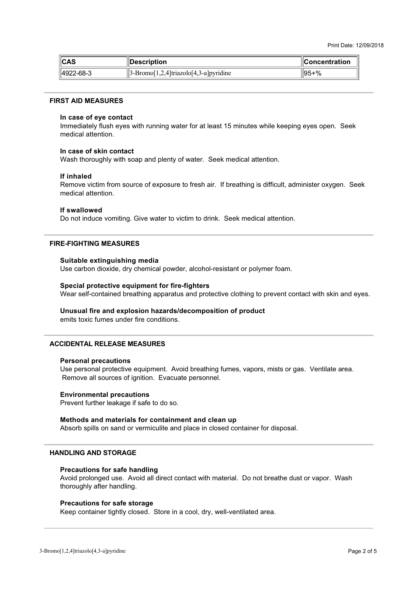| ∥CAS      | <b>Description</b>                                                                             | <b>Concentration</b> |
|-----------|------------------------------------------------------------------------------------------------|----------------------|
| 4922-68-3 | $\left 3\text{-}\text{Bromo}\right[1,2,4\right]$ triazolo $\left[4,3\text{-}a\right]$ pyridine | ll95+%               |

#### **FIRST AID MEASURES**

#### In case of eye contact

minis mans, man systematic minister of articles to the<br>modical attention Immediately flush eyes with running water for at least 15 minutes while keeping eyes open. Seek

#### In case of skin contact

Wash thoroughly with soap and plenty of water. Seek medical attention.

#### **If inhaled**

0 >>  states to represent to access and in accumuly to announce and Remove victim from source of exposure to fresh air. If breathing is difficult, administer oxygen. Seek

#### **If swallowed**

Do not induce vomiting. Give water to victim to drink. Seek medical attention.<br>-

#### **FIRE-FIGHTING MEASURES**

## **Suitable extinguishing media**

 $\frac{1}{2}$  . The contract of  $\frac{1}{2}$  defined by  $\frac{1}{2}$  . The contract of  $\frac{1}{2}$  defined by  $\frac{1}{2}$  defined by  $\frac{1}{2}$ 

#### **Special protective equipment for fire-fighters**

Wear self-contained breathing apparatus and protective clothing to prevent contact with skin and eyes.

#### Unusual fire and explosion hazards/decomposition of product

emits toxic fumes under fire conditions.

## **ACCIDENTAL RELEASE MEASURES**

#### **Personal precautions**

Exercise processes of interiors in the coming that 6>
6 
4F34 >33
 
4> 
34

#### **Environmental precautions**

> 3=

4

#### **Methods and materials for containment and clean up**

s and the company of the company of the company of the company of the company of the company of the company of the company of the company of the company of the company of the company of the company of the company of the co 333


34

#### **HANDLING AND STORAGE**

#### **Precautions for safe handling**

 $\frac{1}{2}$ Avoid prolonged use. Avoid all direct contact with material. Do not breathe dust or vapor. Wash  $\sim$  34  $\sim$  34  $\sim$  34  $\sim$ 

#### **Precautions for safe storage**

Keep container tightly closed. Store in a cool, dry, well-ventilated area.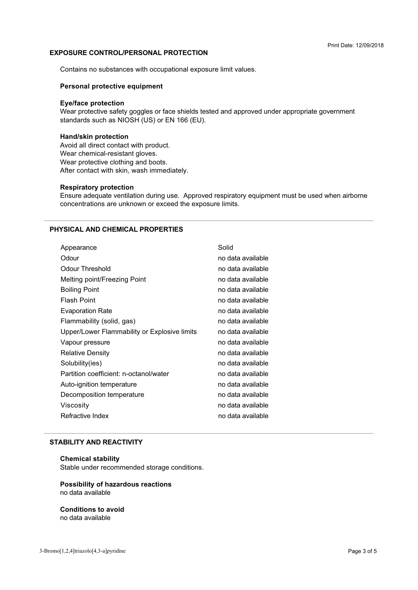# **EXPOSURE CONTROL/PERSONAL PROTECTION**

+

< 35
 3 >3 
4

#### **Personal protective equipment**

# **Eye/face protection**

Free the control of the control of the control of the control of the control of the control of the control of the control of the control of the standards such as NIOSH (US) or EN 166 (EU).

# **Hand/skin protection**

Avoid all direct contact with product.<br>Wear chemical-resistant gloves. Mear protective clothing and bo After contact with skin wash immer (<
=6< 3 4

#### **Respiratory protection**

concentrations are unknown or exceed the exposure limits. the state of the state of the state of the state of the state of the state of the state of the state of the state of the state of the state of the state of the state of the state of the state of the state of the state of t

# **PHYSICAL AND CHEMICAL PROPERTIES**

| no data available<br>Odour<br>Odour Threshold<br>no data available<br>Melting point/Freezing Point<br>no data available<br><b>Boiling Point</b><br>no data available<br><b>Flash Point</b><br>no data available<br><b>Evaporation Rate</b><br>no data available<br>Flammability (solid, gas)<br>no data available<br>Upper/Lower Flammability or Explosive limits<br>no data available<br>no data available<br>Vapour pressure<br>no data available<br><b>Relative Density</b><br>Solubility(ies)<br>no data available<br>Partition coefficient: n-octanol/water<br>no data available<br>no data available<br>Auto-ignition temperature<br>Decomposition temperature<br>no data available<br>no data available<br>Viscosity<br>Refractive Index<br>no data available | Appearance | Solid |
|----------------------------------------------------------------------------------------------------------------------------------------------------------------------------------------------------------------------------------------------------------------------------------------------------------------------------------------------------------------------------------------------------------------------------------------------------------------------------------------------------------------------------------------------------------------------------------------------------------------------------------------------------------------------------------------------------------------------------------------------------------------------|------------|-------|
|                                                                                                                                                                                                                                                                                                                                                                                                                                                                                                                                                                                                                                                                                                                                                                      |            |       |
|                                                                                                                                                                                                                                                                                                                                                                                                                                                                                                                                                                                                                                                                                                                                                                      |            |       |
|                                                                                                                                                                                                                                                                                                                                                                                                                                                                                                                                                                                                                                                                                                                                                                      |            |       |
|                                                                                                                                                                                                                                                                                                                                                                                                                                                                                                                                                                                                                                                                                                                                                                      |            |       |
|                                                                                                                                                                                                                                                                                                                                                                                                                                                                                                                                                                                                                                                                                                                                                                      |            |       |
|                                                                                                                                                                                                                                                                                                                                                                                                                                                                                                                                                                                                                                                                                                                                                                      |            |       |
|                                                                                                                                                                                                                                                                                                                                                                                                                                                                                                                                                                                                                                                                                                                                                                      |            |       |
|                                                                                                                                                                                                                                                                                                                                                                                                                                                                                                                                                                                                                                                                                                                                                                      |            |       |
|                                                                                                                                                                                                                                                                                                                                                                                                                                                                                                                                                                                                                                                                                                                                                                      |            |       |
|                                                                                                                                                                                                                                                                                                                                                                                                                                                                                                                                                                                                                                                                                                                                                                      |            |       |
|                                                                                                                                                                                                                                                                                                                                                                                                                                                                                                                                                                                                                                                                                                                                                                      |            |       |
|                                                                                                                                                                                                                                                                                                                                                                                                                                                                                                                                                                                                                                                                                                                                                                      |            |       |
|                                                                                                                                                                                                                                                                                                                                                                                                                                                                                                                                                                                                                                                                                                                                                                      |            |       |
|                                                                                                                                                                                                                                                                                                                                                                                                                                                                                                                                                                                                                                                                                                                                                                      |            |       |
|                                                                                                                                                                                                                                                                                                                                                                                                                                                                                                                                                                                                                                                                                                                                                                      |            |       |
|                                                                                                                                                                                                                                                                                                                                                                                                                                                                                                                                                                                                                                                                                                                                                                      |            |       |

#### **STABILITY AND REACTIVITY**

#### **Chemical stability**

Stable under recommended storage conditions.<br>'

#### **Possibility of hazardous reactions** no data available

**Conditions to avoid** no data available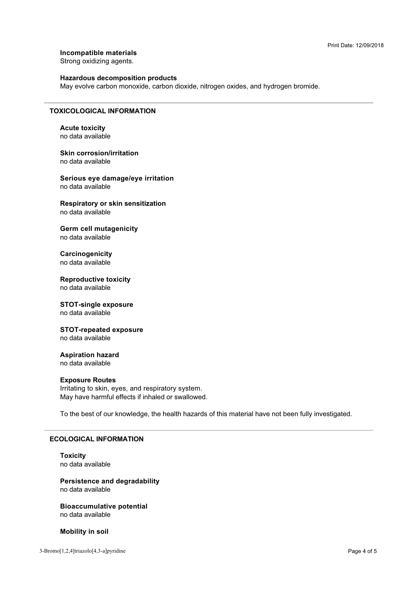Incompatible materials

Strong oxidizing agents.

# **Hazardous decomposition products**

May evolve carbon monoxide, carbon dioxide, nitrogen oxides, and hydrogen bromide.

## **TOXICOLOGICAL INFORMATION**

**Acute toxicity** no data available

**Skin corrosion/irritation** no data available

Serious eye damage/eye irritation no data available

Respiratory or skin sensitization no data available

**Germ cell mutagenicity** no data available

Carcinogenicity no data available

**Reproductive toxicity** no data available

# **STOT-single exposure**

no data available

#### **STOT-repeated exposure** no data available

**Aspiration hazard** 

no data available

# **Exposure Routes**

Irritating to skin, eyes, and respiratory system. May have harmful effects if inhaled or swallowed.

To the best of our knowledge, the health hazards of this material have not been fully investigated.

## **ECOLOGICAL INFORMATION**

**Toxicity** no data available

**Persistence and degradability** no data available

**Bioaccumulative potential** no data available

**Mobility in soil**